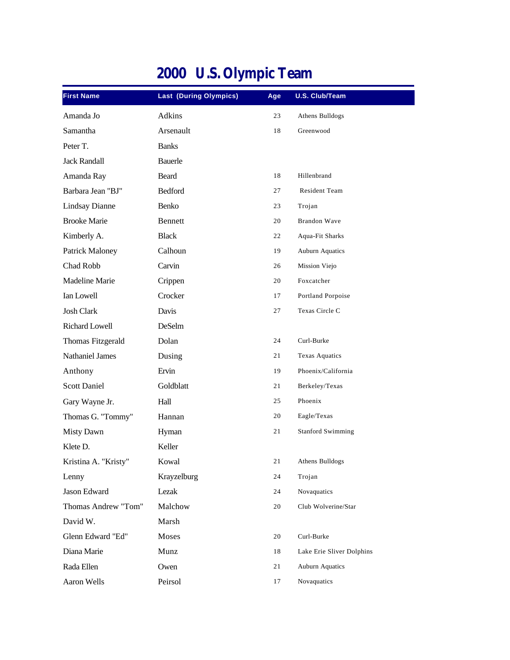| <b>First Name</b>      | <b>Last (During Olympics)</b> | Age | <b>U.S. Club/Team</b>     |
|------------------------|-------------------------------|-----|---------------------------|
| Amanda Jo              | Adkins                        | 23  | Athens Bulldogs           |
| Samantha               | Arsenault                     | 18  | Greenwood                 |
| Peter T.               | <b>Banks</b>                  |     |                           |
| <b>Jack Randall</b>    | Bauerle                       |     |                           |
| Amanda Ray             | Beard                         | 18  | Hillenbrand               |
| Barbara Jean "BJ"      | Bedford                       | 27  | Resident Team             |
| <b>Lindsay Dianne</b>  | Benko                         | 23  | Trojan                    |
| <b>Brooke Marie</b>    | Bennett                       | 20  | <b>Brandon Wave</b>       |
| Kimberly A.            | <b>Black</b>                  | 22  | Aqua-Fit Sharks           |
| Patrick Maloney        | Calhoun                       | 19  | <b>Auburn Aquatics</b>    |
| Chad Robb              | Carvin                        | 26  | Mission Viejo             |
| Madeline Marie         | Crippen                       | 20  | Foxcatcher                |
| Ian Lowell             | Crocker                       | 17  | Portland Porpoise         |
| <b>Josh Clark</b>      | Davis                         | 27  | Texas Circle C            |
| Richard Lowell         | DeSelm                        |     |                           |
| Thomas Fitzgerald      | Dolan                         | 24  | Curl-Burke                |
| <b>Nathaniel James</b> | Dusing                        | 21  | <b>Texas Aquatics</b>     |
| Anthony                | Ervin                         | 19  | Phoenix/California        |
| <b>Scott Daniel</b>    | Goldblatt                     | 21  | Berkeley/Texas            |
| Gary Wayne Jr.         | Hall                          | 25  | Phoenix                   |
| Thomas G. "Tommy"      | Hannan                        | 20  | Eagle/Texas               |
| <b>Misty Dawn</b>      | Hyman                         | 21  | <b>Stanford Swimming</b>  |
| Klete D.               | Keller                        |     |                           |
| Kristina A. "Kristy"   | Kowal                         | 21  | Athens Bulldogs           |
| Lenny                  | Krayzelburg                   | 24  | Trojan                    |
| Jason Edward           | Lezak                         | 24  | Novaquatics               |
| Thomas Andrew "Tom"    | Malchow                       | 20  | Club Wolverine/Star       |
| David W.               | Marsh                         |     |                           |
| Glenn Edward "Ed"      | Moses                         | 20  | Curl-Burke                |
| Diana Marie            | Munz                          | 18  | Lake Erie Sliver Dolphins |
| Rada Ellen             | Owen                          | 21  | <b>Auburn Aquatics</b>    |
| Aaron Wells            | Peirsol                       | 17  | Novaquatics               |

## **2000 U.S. Olympic Team**